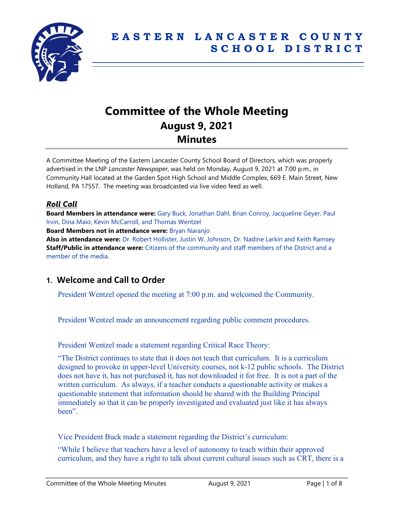

# **Committee of the Whole Meeting August 9, 2021 Minutes**

A Committee Meeting of the Eastern Lancaster County School Board of Directors, which was properly advertised in the LNP *Lancaster Newspaper*, was held on Monday, August 9, 2021 at 7:00 p.m., in Community Hall located at the Garden Spot High School and Middle Complex, 669 E. Main Street, New Holland, PA 17557. The meeting was broadcasted via live video feed as well.

### *Roll Call*

**Board Members in attendance were:** Gary Buck, Jonathan Dahl, Brian Conroy, Jacqueline Geyer, Paul Irvin, Dina Maio, Kevin McCarroll, and Thomas Wentzel

**Board Members not in attendance were:** Bryan Naranjo

**Also in attendance were:** Dr. Robert Hollister, Justin W. Johnson, Dr. Nadine Larkin and Keith Ramsey **Staff/Public in attendance were:** Citizens of the community and staff members of the District and a member of the media.

# **1. Welcome and Call to Order**

President Wentzel opened the meeting at 7:00 p.m. and welcomed the Community.

President Wentzel made an announcement regarding public comment procedures.

President Wentzel made a statement regarding Critical Race Theory:

"The District continues to state that it does not teach that curriculum. It is a curriculum designed to provoke in upper-level University courses, not k-12 public schools. The District does not have it, has not purchased it, has not downloaded it for free. It is not a part of the written curriculum. As always, if a teacher conducts a questionable activity or makes a questionable statement that information should be shared with the Building Principal immediately so that it can be properly investigated and evaluated just like it has always been".

Vice President Buck made a statement regarding the District's curriculum:

"While I believe that teachers have a level of autonomy to teach within their approved curriculum, and they have a right to talk about current cultural issues such as CRT, there is a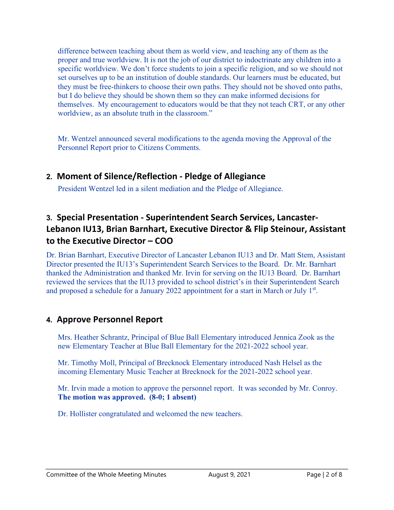difference between teaching about them as world view, and teaching any of them as the proper and true worldview. It is not the job of our district to indoctrinate any children into a specific worldview. We don't force students to join a specific religion, and so we should not set ourselves up to be an institution of double standards. Our learners must be educated, but they must be free-thinkers to choose their own paths. They should not be shoved onto paths, but I do believe they should be shown them so they can make informed decisions for themselves. My encouragement to educators would be that they not teach CRT, or any other worldview, as an absolute truth in the classroom."

Mr. Wentzel announced several modifications to the agenda moving the Approval of the Personnel Report prior to Citizens Comments.

# **2. Moment of Silence/Reflection - Pledge of Allegiance**

President Wentzel led in a silent mediation and the Pledge of Allegiance.

# **3. Special Presentation - Superintendent Search Services, Lancaster-Lebanon IU13, Brian Barnhart, Executive Director & Flip Steinour, Assistant to the Executive Director – COO**

Dr. Brian Barnhart, Executive Director of Lancaster Lebanon IU13 and Dr. Matt Stem, Assistant Director presented the IU13's Superintendent Search Services to the Board. Dr. Mr. Barnhart thanked the Administration and thanked Mr. Irvin for serving on the IU13 Board. Dr. Barnhart reviewed the services that the IU13 provided to school district's in their Superintendent Search and proposed a schedule for a January 2022 appointment for a start in March or July 1st.

# **4. Approve Personnel Report**

Mrs. Heather Schrantz, Principal of Blue Ball Elementary introduced Jennica Zook as the new Elementary Teacher at Blue Ball Elementary for the 2021-2022 school year.

Mr. Timothy Moll, Principal of Brecknock Elementary introduced Nash Helsel as the incoming Elementary Music Teacher at Brecknock for the 2021-2022 school year.

Mr. Irvin made a motion to approve the personnel report. It was seconded by Mr. Conroy. **The motion was approved. (8-0; 1 absent)**

Dr. Hollister congratulated and welcomed the new teachers.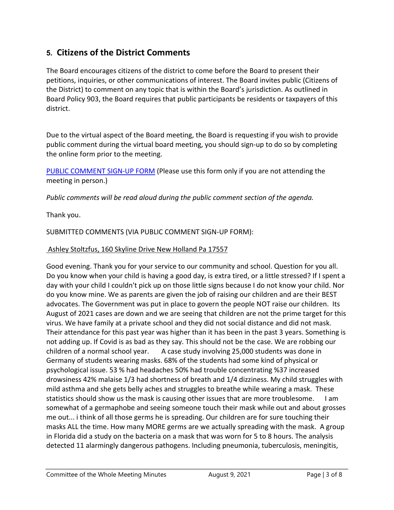# **5. Citizens of the District Comments**

The Board encourages citizens of the district to come before the Board to present their petitions, inquiries, or other communications of interest. The Board invites public (Citizens of the District) to comment on any topic that is within the Board's jurisdiction. As outlined in Board Policy 903, the Board requires that public participants be residents or taxpayers of this district.

Due to the virtual aspect of the Board meeting, the Board is requesting if you wish to provide public comment during the virtual board meeting, you should sign-up to do so by completing the online form prior to the meeting.

[PUBLIC COMMENT SIGN-UP FORM](https://forms.gle/zDXXoX8rZQUxt1Ap6) (Please use this form only if you are not attending the meeting in person.)

*Public comments will be read aloud during the public comment section of the agenda.*

Thank you.

SUBMITTED COMMENTS (VIA PUBLIC COMMENT SIGN-UP FORM):

### Ashley Stoltzfus, 160 Skyline Drive New Holland Pa 17557

Good evening. Thank you for your service to our community and school. Question for you all. Do you know when your child is having a good day, is extra tired, or a little stressed? If I spent a day with your child I couldn't pick up on those little signs because I do not know your child. Nor do you know mine. We as parents are given the job of raising our children and are their BEST advocates. The Government was put in place to govern the people NOT raise our children. Its August of 2021 cases are down and we are seeing that children are not the prime target for this virus. We have family at a private school and they did not social distance and did not mask. Their attendance for this past year was higher than it has been in the past 3 years. Something is not adding up. If Covid is as bad as they say. This should not be the case. We are robbing our children of a normal school year. A case study involving 25,000 students was done in Germany of students wearing masks. 68% of the students had some kind of physical or psychological issue. 53 % had headaches 50% had trouble concentrating %37 increased drowsiness 42% malaise 1/3 had shortness of breath and 1/4 dizziness. My child struggles with mild asthma and she gets belly aches and struggles to breathe while wearing a mask. These statistics should show us the mask is causing other issues that are more troublesome. I am somewhat of a germaphobe and seeing someone touch their mask while out and about grosses me out... i think of all those germs he is spreading. Our children are for sure touching their masks ALL the time. How many MORE germs are we actually spreading with the mask. A group in Florida did a study on the bacteria on a mask that was worn for 5 to 8 hours. The analysis detected 11 alarmingly dangerous pathogens. Including pneumonia, tuberculosis, meningitis,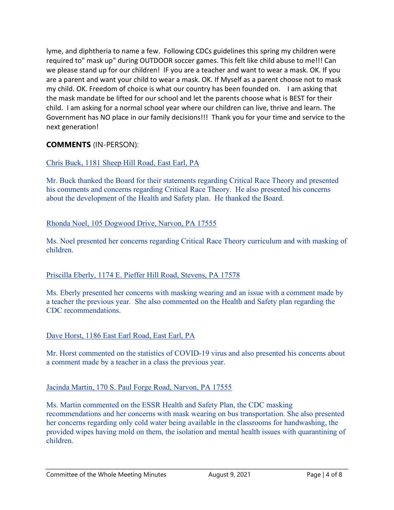lyme, and diphtheria to name a few. Following CDCs guidelines this spring my children were required to" mask up" during OUTDOOR soccer games. This felt like child abuse to me!!! Can we please stand up for our children! IF you are a teacher and want to wear a mask. OK. If you are a parent and want your child to wear a mask. OK. If Myself as a parent choose not to mask my child. OK. Freedom of choice is what our country has been founded on. I am asking that the mask mandate be lifted for our school and let the parents choose what is BEST for their child. I am asking for a normal school year where our children can live, thrive and learn. The Government has NO place in our family decisions!!! Thank you for your time and service to the next generation!

# **COMMENTS** (IN-PERSON):

### Chris Buck, 1181 Sheep Hill Road, East Earl, PA

Mr. Buck thanked the Board for their statements regarding Critical Race Theory and presented his comments and concerns regarding Critical Race Theory. He also presented his concerns about the development of the Health and Safety plan. He thanked the Board.

#### Rhonda Noel, 105 Dogwood Drive, Narvon, PA 17555

Ms. Noel presented her concerns regarding Critical Race Theory curriculum and with masking of children.

#### Priscilla Eberly, 1174 E. Pieffer Hill Road, Stevens, PA 17578

Ms. Eberly presented her concerns with masking wearing and an issue with a comment made by a teacher the previous year. She also commented on the Health and Safety plan regarding the CDC recommendations.

#### Dave Horst, 1186 East Earl Road, East Earl, PA

Mr. Horst commented on the statistics of COVID-19 virus and also presented his concerns about a comment made by a teacher in a class the previous year.

#### Jacinda Martin, 170 S. Paul Forge Road, Narvon, PA 17555

Ms. Martin commented on the ESSR Health and Safety Plan, the CDC masking recommendations and her concerns with mask wearing on bus transportation. She also presented her concerns regarding only cold water being available in the classrooms for handwashing, the provided wipes having mold on them, the isolation and mental health issues with quarantining of children.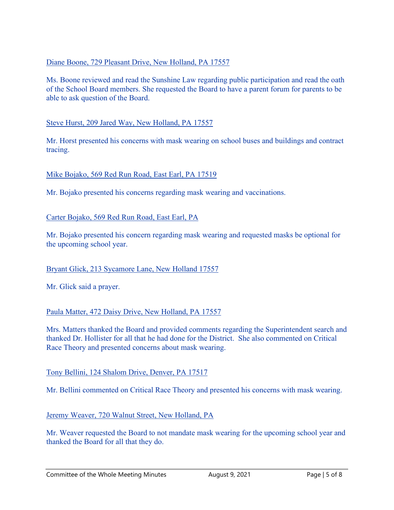#### Diane Boone, 729 Pleasant Drive, New Holland, PA 17557

Ms. Boone reviewed and read the Sunshine Law regarding public participation and read the oath of the School Board members. She requested the Board to have a parent forum for parents to be able to ask question of the Board.

#### Steve Hurst, 209 Jared Way, New Holland, PA 17557

Mr. Horst presented his concerns with mask wearing on school buses and buildings and contract tracing.

#### Mike Bojako, 569 Red Run Road, East Earl, PA 17519

Mr. Bojako presented his concerns regarding mask wearing and vaccinations.

#### Carter Bojako, 569 Red Run Road, East Earl, PA

Mr. Bojako presented his concern regarding mask wearing and requested masks be optional for the upcoming school year.

#### Bryant Glick, 213 Sycamore Lane, New Holland 17557

Mr. Glick said a prayer.

#### Paula Matter, 472 Daisy Drive, New Holland, PA 17557

Mrs. Matters thanked the Board and provided comments regarding the Superintendent search and thanked Dr. Hollister for all that he had done for the District. She also commented on Critical Race Theory and presented concerns about mask wearing.

#### Tony Bellini, 124 Shalom Drive, Denver, PA 17517

Mr. Bellini commented on Critical Race Theory and presented his concerns with mask wearing.

#### Jeremy Weaver, 720 Walnut Street, New Holland, PA

Mr. Weaver requested the Board to not mandate mask wearing for the upcoming school year and thanked the Board for all that they do.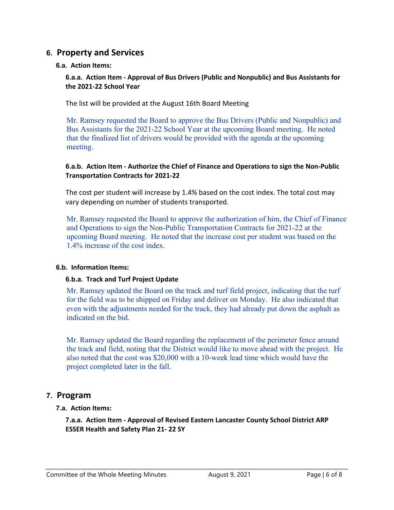# **6. Property and Services**

#### **6.a. Action Items:**

#### **6.a.a. Action Item - Approval of Bus Drivers (Public and Nonpublic) and Bus Assistants for the 2021-22 School Year**

The list will be provided at the August 16th Board Meeting

Mr. Ramsey requested the Board to approve the Bus Drivers (Public and Nonpublic) and Bus Assistants for the 2021-22 School Year at the upcoming Board meeting. He noted that the finalized list of drivers would be provided with the agenda at the upcoming meeting.

#### **6.a.b. Action Item - Authorize the Chief of Finance and Operations to sign the Non-Public Transportation Contracts for 2021-22**

The cost per student will increase by 1.4% based on the cost index. The total cost may vary depending on number of students transported.

Mr. Ramsey requested the Board to approve the authorization of him, the Chief of Finance and Operations to sign the Non-Public Transportation Contracts for 2021-22 at the upcoming Board meeting. He noted that the increase cost per student was based on the 1.4% increase of the cost index.

#### **6.b. Information Items:**

#### **6.b.a. Track and Turf Project Update**

Mr. Ramsey updated the Board on the track and turf field project, indicating that the turf for the field was to be shipped on Friday and deliver on Monday. He also indicated that even with the adjustments needed for the track, they had already put down the asphalt as indicated on the bid.

Mr. Ramsey updated the Board regarding the replacement of the perimeter fence around the track and field, noting that the District would like to move ahead with the project. He also noted that the cost was \$20,000 with a 10-week lead time which would have the project completed later in the fall.

# **7. Program**

#### **7.a. Action Items:**

**7.a.a. Action Item - Approval of Revised Eastern Lancaster County School District ARP ESSER Health and Safety Plan 21- 22 SY**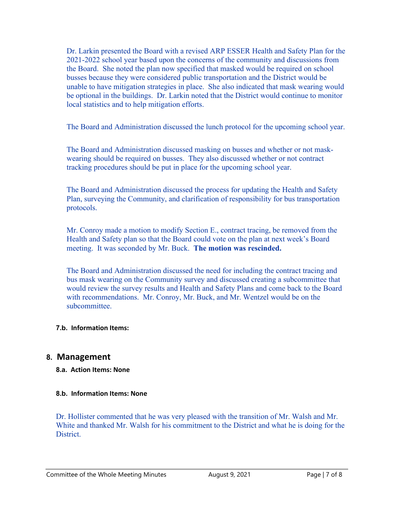Dr. Larkin presented the Board with a revised ARP ESSER Health and Safety Plan for the 2021-2022 school year based upon the concerns of the community and discussions from the Board. She noted the plan now specified that masked would be required on school busses because they were considered public transportation and the District would be unable to have mitigation strategies in place. She also indicated that mask wearing would be optional in the buildings. Dr. Larkin noted that the District would continue to monitor local statistics and to help mitigation efforts.

The Board and Administration discussed the lunch protocol for the upcoming school year.

The Board and Administration discussed masking on busses and whether or not maskwearing should be required on busses. They also discussed whether or not contract tracking procedures should be put in place for the upcoming school year.

The Board and Administration discussed the process for updating the Health and Safety Plan, surveying the Community, and clarification of responsibility for bus transportation protocols.

Mr. Conroy made a motion to modify Section E., contract tracing, be removed from the Health and Safety plan so that the Board could vote on the plan at next week's Board meeting. It was seconded by Mr. Buck. **The motion was rescinded.** 

The Board and Administration discussed the need for including the contract tracing and bus mask wearing on the Community survey and discussed creating a subcommittee that would review the survey results and Health and Safety Plans and come back to the Board with recommendations. Mr. Conroy, Mr. Buck, and Mr. Wentzel would be on the subcommittee.

#### **7.b. Information Items:**

### **8. Management**

#### **8.a. Action Items: None**

#### **8.b. Information Items: None**

Dr. Hollister commented that he was very pleased with the transition of Mr. Walsh and Mr. White and thanked Mr. Walsh for his commitment to the District and what he is doing for the **District**